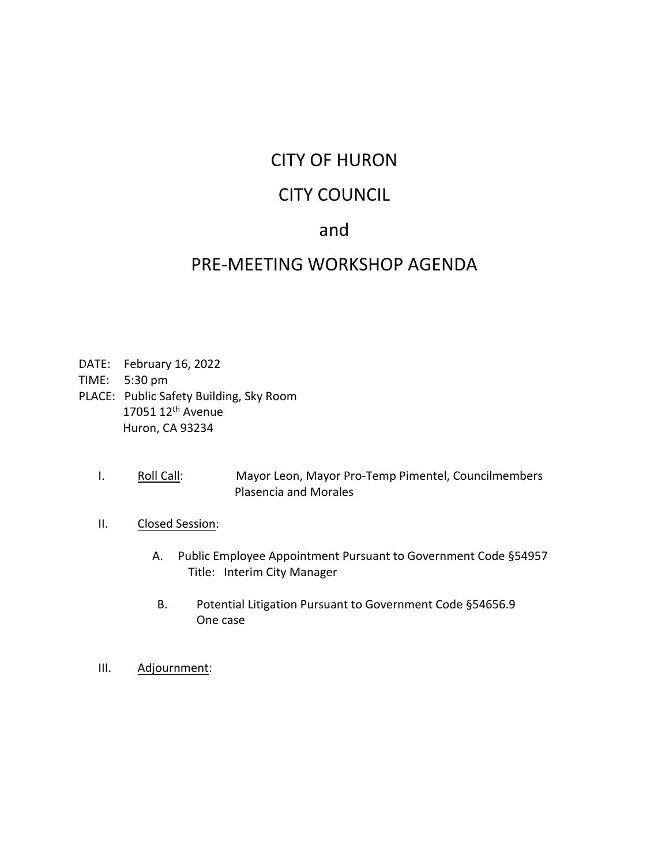## CITY OF HURON

## CITY COUNCIL

### and

### PRE-MEETING WORKSHOP AGENDA

DATE: February 16, 2022

TIME: 5:30 pm

PLACE: Public Safety Building, Sky Room 17051 12th Avenue Huron, CA 93234

- I. Roll Call: Mayor Leon, Mayor Pro-Temp Pimentel, Councilmembers Plasencia and Morales
- II. Closed Session:
	- A. Public Employee Appointment Pursuant to Government Code §54957 Title: Interim City Manager
	- B. Potential Litigation Pursuant to Government Code §54656.9 One case
- III. Adjournment: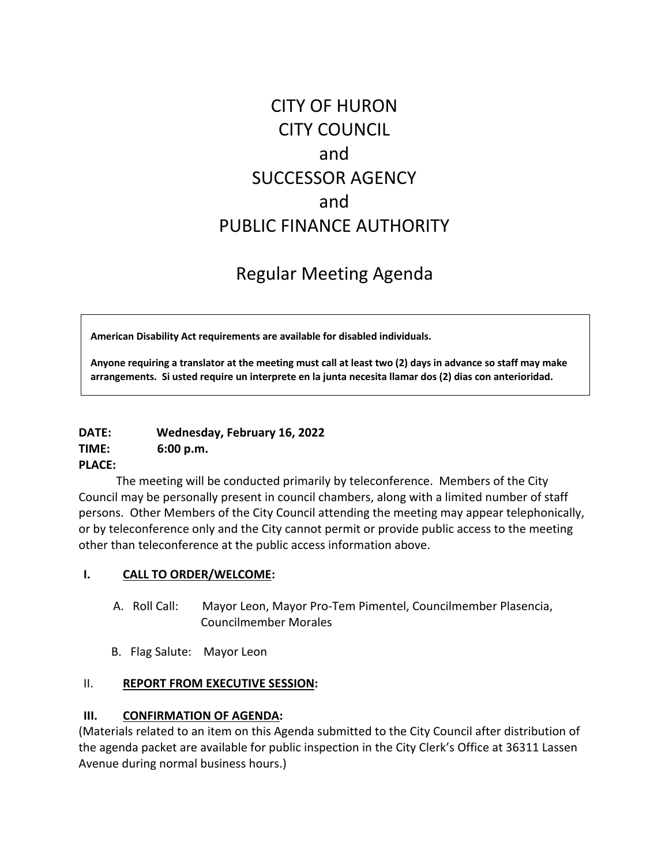# CITY OF HURON CITY COUNCIL and SUCCESSOR AGENCY and PUBLIC FINANCE AUTHORITY

## Regular Meeting Agenda

**American Disability Act requirements are available for disabled individuals.** 

**Anyone requiring a translator at the meeting must call at least two (2) days in advance so staff may make arrangements. Si usted require un interprete en la junta necesita llamar dos (2) dias con anterioridad.**

| <b>DATE:</b> | Wednesday, February 16, 2022 |
|--------------|------------------------------|
| TIME:        | 6:00 p.m.                    |
| DI ACE.      |                              |

**PLACE:** 

 The meeting will be conducted primarily by teleconference. Members of the City Council may be personally present in council chambers, along with a limited number of staff persons. Other Members of the City Council attending the meeting may appear telephonically, or by teleconference only and the City cannot permit or provide public access to the meeting other than teleconference at the public access information above.

#### **I. CALL TO ORDER/WELCOME:**

- A. Roll Call: Mayor Leon, Mayor Pro-Tem Pimentel, Councilmember Plasencia, Councilmember Morales
- B. Flag Salute: Mayor Leon

#### II. **REPORT FROM EXECUTIVE SESSION:**

#### **III. CONFIRMATION OF AGENDA:**

(Materials related to an item on this Agenda submitted to the City Council after distribution of the agenda packet are available for public inspection in the City Clerk's Office at 36311 Lassen Avenue during normal business hours.)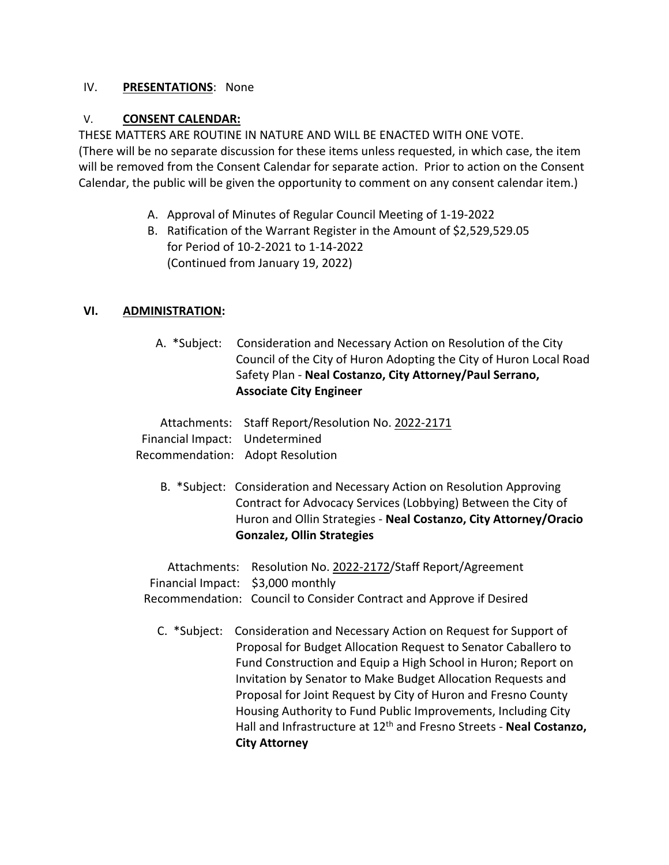#### IV. **PRESENTATIONS**: None

#### V. **CONSENT CALENDAR:**

THESE MATTERS ARE ROUTINE IN NATURE AND WILL BE ENACTED WITH ONE VOTE. (There will be no separate discussion for these items unless requested, in which case, the item will be removed from the Consent Calendar for separate action. Prior to action on the Consent Calendar, the public will be given the opportunity to comment on any consent calendar item.)

- A. Approval of Minutes of Regular Council Meeting of 1-19-2022
- B. Ratification of the Warrant Register in the Amount of \$2,529,529.05 for Period of 10-2-2021 to 1-14-2022 (Continued from January 19, 2022)

#### **VI. ADMINISTRATION:**

 A. \*Subject: Consideration and Necessary Action on Resolution of the City Council of the City of Huron Adopting the City of Huron Local Road Safety Plan - **Neal Costanzo, City Attorney/Paul Serrano, Associate City Engineer**

Attachments: Staff Report/Resolution No. 2022-2171 Financial Impact: Undetermined Recommendation: Adopt Resolution

B. \*Subject: Consideration and Necessary Action on Resolution Approving Contract for Advocacy Services (Lobbying) Between the City of Huron and Ollin Strategies - **Neal Costanzo, City Attorney/Oracio Gonzalez, Ollin Strategies**

 Attachments: Resolution No. 2022-2172/Staff Report/Agreement Financial Impact: \$3,000 monthly Recommendation: Council to Consider Contract and Approve if Desired

C. \*Subject: Consideration and Necessary Action on Request for Support of Proposal for Budget Allocation Request to Senator Caballero to Fund Construction and Equip a High School in Huron; Report on Invitation by Senator to Make Budget Allocation Requests and Proposal for Joint Request by City of Huron and Fresno County Housing Authority to Fund Public Improvements, Including City Hall and Infrastructure at 12th and Fresno Streets - **Neal Costanzo, City Attorney**